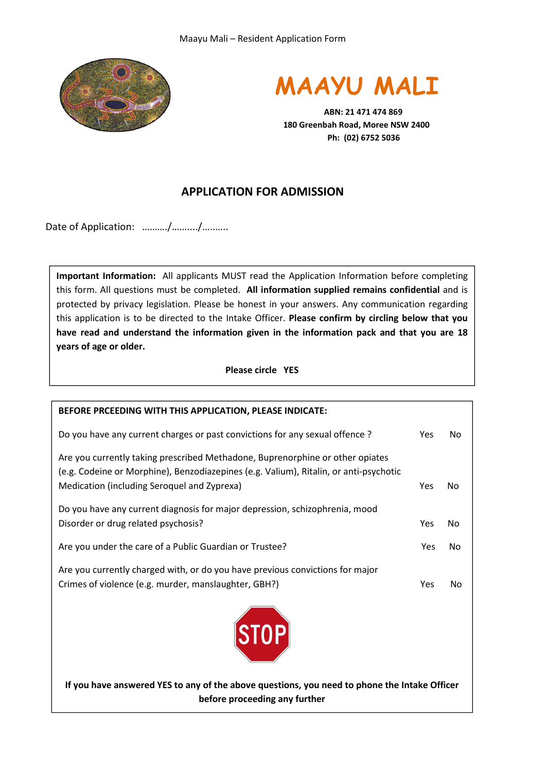



 **ABN: 21 471 474 869 180 Greenbah Road, Moree NSW 2400 Ph: (02) 6752 5036** 

## **APPLICATION FOR ADMISSION**

Date of Application: ........../........./..........

**Important Information:** All applicants MUST read the Application Information before completing this form. All questions must be completed. **All information supplied remains confidential** and is protected by privacy legislation. Please be honest in your answers. Any communication regarding this application is to be directed to the Intake Officer. **Please confirm by circling below that you have read and understand the information given in the information pack and that you are 18 years of age or older.** 

**Please circle YES** 

| BEFORE PRCEEDING WITH THIS APPLICATION, PLEASE INDICATE:                                                                                                                                                              |     |    |
|-----------------------------------------------------------------------------------------------------------------------------------------------------------------------------------------------------------------------|-----|----|
| Do you have any current charges or past convictions for any sexual offence?                                                                                                                                           | Yes | No |
| Are you currently taking prescribed Methadone, Buprenorphine or other opiates<br>(e.g. Codeine or Morphine), Benzodiazepines (e.g. Valium), Ritalin, or anti-psychotic<br>Medication (including Seroquel and Zyprexa) | Yes | No |
| Do you have any current diagnosis for major depression, schizophrenia, mood<br>Disorder or drug related psychosis?                                                                                                    | Yes | No |
| Are you under the care of a Public Guardian or Trustee?                                                                                                                                                               | Yes | No |
| Are you currently charged with, or do you have previous convictions for major<br>Crimes of violence (e.g. murder, manslaughter, GBH?)                                                                                 | Yes | No |
| STOP                                                                                                                                                                                                                  |     |    |

**If you have answered YES to any of the above questions, you need to phone the Intake Officer before proceeding any further**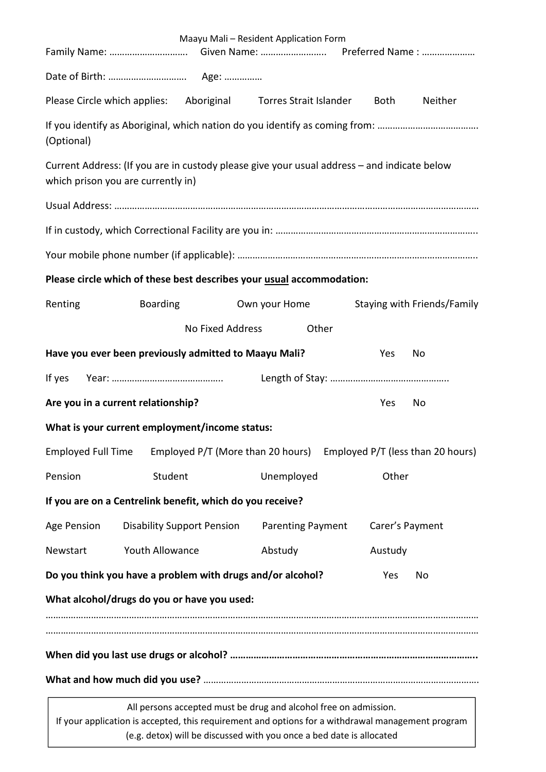|                                                           |                                   |                  | Maayu Mali - Resident Application Form<br>Family Name:  Given Name:  Preferred Name :                                                                                                                                                         |       |                 |                             |
|-----------------------------------------------------------|-----------------------------------|------------------|-----------------------------------------------------------------------------------------------------------------------------------------------------------------------------------------------------------------------------------------------|-------|-----------------|-----------------------------|
|                                                           |                                   |                  |                                                                                                                                                                                                                                               |       |                 |                             |
|                                                           |                                   |                  | Please Circle which applies: Aboriginal Torres Strait Islander                                                                                                                                                                                |       | Both            | Neither                     |
| (Optional)                                                |                                   |                  | If you identify as Aboriginal, which nation do you identify as coming from:                                                                                                                                                                   |       |                 |                             |
| which prison you are currently in)                        |                                   |                  | Current Address: (If you are in custody please give your usual address – and indicate below                                                                                                                                                   |       |                 |                             |
|                                                           |                                   |                  |                                                                                                                                                                                                                                               |       |                 |                             |
|                                                           |                                   |                  |                                                                                                                                                                                                                                               |       |                 |                             |
|                                                           |                                   |                  |                                                                                                                                                                                                                                               |       |                 |                             |
|                                                           |                                   |                  | Please circle which of these best describes your usual accommodation:                                                                                                                                                                         |       |                 |                             |
| Renting                                                   | <b>Boarding</b>                   |                  | Own your Home                                                                                                                                                                                                                                 |       |                 | Staying with Friends/Family |
|                                                           |                                   | No Fixed Address |                                                                                                                                                                                                                                               | Other |                 |                             |
|                                                           |                                   |                  | Have you ever been previously admitted to Maayu Mali?                                                                                                                                                                                         |       | Yes             | No                          |
| If yes                                                    |                                   |                  |                                                                                                                                                                                                                                               |       |                 |                             |
| Are you in a current relationship?                        |                                   |                  |                                                                                                                                                                                                                                               |       | Yes             | No                          |
| What is your current employment/income status:            |                                   |                  |                                                                                                                                                                                                                                               |       |                 |                             |
| <b>Employed Full Time</b>                                 |                                   |                  | Employed P/T (More than 20 hours) Employed P/T (less than 20 hours)                                                                                                                                                                           |       |                 |                             |
| Pension                                                   | Student                           |                  | Unemployed                                                                                                                                                                                                                                    |       | Other           |                             |
| If you are on a Centrelink benefit, which do you receive? |                                   |                  |                                                                                                                                                                                                                                               |       |                 |                             |
| <b>Age Pension</b>                                        | <b>Disability Support Pension</b> |                  | <b>Parenting Payment</b>                                                                                                                                                                                                                      |       | Carer's Payment |                             |
| Newstart                                                  | Youth Allowance                   |                  | Abstudy                                                                                                                                                                                                                                       |       | Austudy         |                             |
|                                                           |                                   |                  | Do you think you have a problem with drugs and/or alcohol?                                                                                                                                                                                    |       | Yes             | No                          |
| What alcohol/drugs do you or have you used:               |                                   |                  |                                                                                                                                                                                                                                               |       |                 |                             |
|                                                           |                                   |                  |                                                                                                                                                                                                                                               |       |                 |                             |
|                                                           |                                   |                  |                                                                                                                                                                                                                                               |       |                 |                             |
|                                                           |                                   |                  |                                                                                                                                                                                                                                               |       |                 |                             |
|                                                           |                                   |                  | All persons accepted must be drug and alcohol free on admission.<br>If your application is accepted, this requirement and options for a withdrawal management program<br>(e.g. detox) will be discussed with you once a bed date is allocated |       |                 |                             |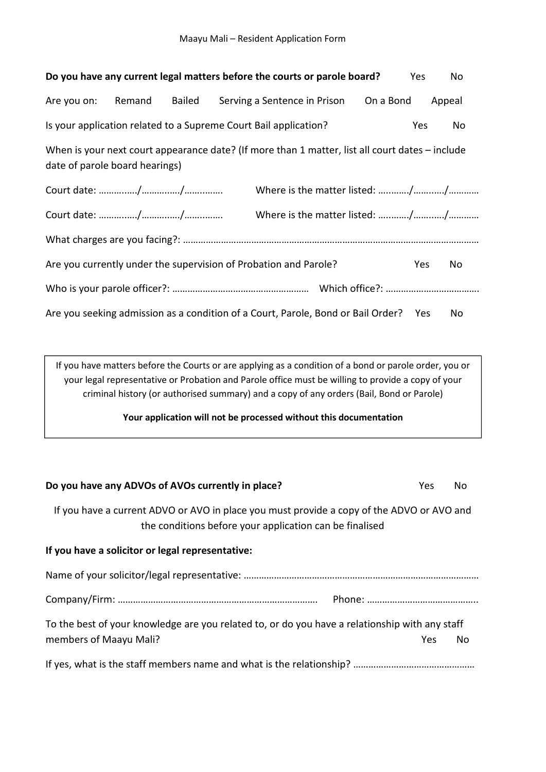| Do you have any current legal matters before the courts or parole board?                                                          |        |        |                              |           | Yes        | No     |
|-----------------------------------------------------------------------------------------------------------------------------------|--------|--------|------------------------------|-----------|------------|--------|
| Are you on:                                                                                                                       | Remand | Bailed | Serving a Sentence in Prison | On a Bond |            | Appeal |
| Is your application related to a Supreme Court Bail application?                                                                  |        |        |                              |           | <b>Yes</b> | No     |
| When is your next court appearance date? (If more than 1 matter, list all court dates – include<br>date of parole board hearings) |        |        |                              |           |            |        |
|                                                                                                                                   |        |        |                              |           |            |        |
|                                                                                                                                   |        |        |                              |           |            |        |
|                                                                                                                                   |        |        |                              |           |            |        |
| Are you currently under the supervision of Probation and Parole?                                                                  |        |        |                              |           | <b>Yes</b> | No     |
|                                                                                                                                   |        |        |                              |           |            |        |
| Are you seeking admission as a condition of a Court, Parole, Bond or Bail Order? Yes                                              |        |        |                              |           |            | No     |

If you have matters before the Courts or are applying as a condition of a bond or parole order, you or your legal representative or Probation and Parole office must be willing to provide a copy of your criminal history (or authorised summary) and a copy of any orders (Bail, Bond or Parole)

**Your application will not be processed without this documentation** 

| Do you have any ADVOs of AVOs currently in place?                                                                                                    | Yes | No. |
|------------------------------------------------------------------------------------------------------------------------------------------------------|-----|-----|
| If you have a current ADVO or AVO in place you must provide a copy of the ADVO or AVO and<br>the conditions before your application can be finalised |     |     |
| If you have a solicitor or legal representative:                                                                                                     |     |     |
|                                                                                                                                                      |     |     |
|                                                                                                                                                      |     |     |
| To the best of your knowledge are you related to, or do you have a relationship with any staff                                                       |     |     |
| members of Maayu Mali?                                                                                                                               | Yes | No  |
|                                                                                                                                                      |     |     |